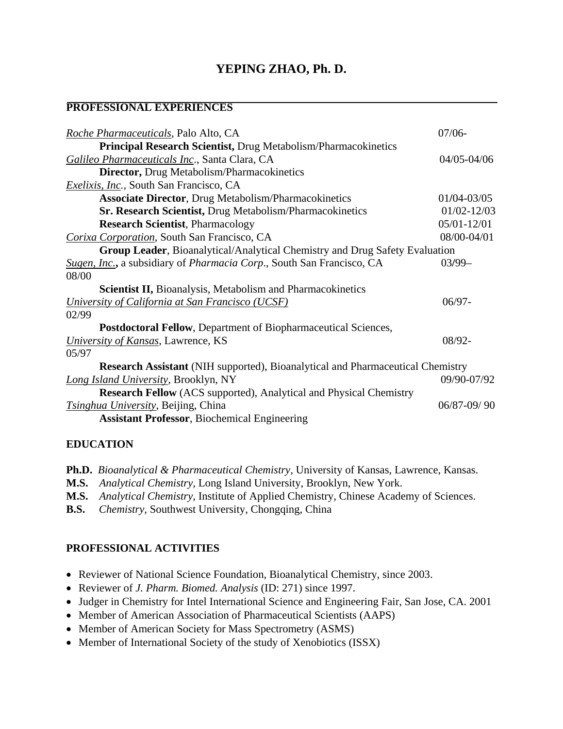# **YEPING ZHAO, Ph. D.**

## **PROFESSIONAL EXPERIENCES**

| Roche Pharmaceuticals, Palo Alto, CA                                                  | $07/06-$        |
|---------------------------------------------------------------------------------------|-----------------|
| <b>Principal Research Scientist, Drug Metabolism/Pharmacokinetics</b>                 |                 |
| Galileo Pharmaceuticals Inc., Santa Clara, CA                                         | 04/05-04/06     |
| Director, Drug Metabolism/Pharmacokinetics                                            |                 |
| <i>Exelixis, Inc., South San Francisco, CA</i>                                        |                 |
| <b>Associate Director, Drug Metabolism/Pharmacokinetics</b>                           | 01/04-03/05     |
| Sr. Research Scientist, Drug Metabolism/Pharmacokinetics                              | $01/02 - 12/03$ |
| <b>Research Scientist, Pharmacology</b>                                               | 05/01-12/01     |
| Corixa Corporation, South San Francisco, CA                                           | 08/00-04/01     |
| Group Leader, Bioanalytical/Analytical Chemistry and Drug Safety Evaluation           |                 |
| Sugen, Inc., a subsidiary of Pharmacia Corp., South San Francisco, CA                 | $03/99-$        |
| 08/00                                                                                 |                 |
| Scientist II, Bioanalysis, Metabolism and Pharmacokinetics                            |                 |
| University of California at San Francisco (UCSF)                                      | $06/97 -$       |
| 02/99                                                                                 |                 |
| <b>Postdoctoral Fellow, Department of Biopharmaceutical Sciences,</b>                 |                 |
| University of Kansas, Lawrence, KS                                                    | $08/92 -$       |
| 05/97                                                                                 |                 |
| <b>Research Assistant</b> (NIH supported), Bioanalytical and Pharmaceutical Chemistry |                 |
| <b>Long Island University, Brooklyn, NY</b>                                           | 09/90-07/92     |
| <b>Research Fellow</b> (ACS supported), Analytical and Physical Chemistry             |                 |
| <i>Tsinghua University</i> , Beijing, China                                           | $06/87 - 09/90$ |
| <b>Assistant Professor</b> , Biochemical Engineering                                  |                 |

#### **EDUCATION**

**Ph.D.** *Bioanalytical & Pharmaceutical Chemistry,* University of Kansas, Lawrence, Kansas.

- **M.S.** *Analytical Chemistry,* Long Island University, Brooklyn, New York.
- **M.S.** *Analytical Chemistry*, Institute of Applied Chemistry, Chinese Academy of Sciences.
- **B.S.** *Chemistry,* Southwest University, Chongqing, China

#### **PROFESSIONAL ACTIVITIES**

- Reviewer of National Science Foundation, Bioanalytical Chemistry, since 2003.
- Reviewer of *J. Pharm. Biomed. Analysis* (ID: 271) since 1997.
- Judger in Chemistry for Intel International Science and Engineering Fair, San Jose, CA. 2001
- Member of American Association of Pharmaceutical Scientists (AAPS)
- Member of American Society for Mass Spectrometry (ASMS)
- Member of International Society of the study of Xenobiotics (ISSX)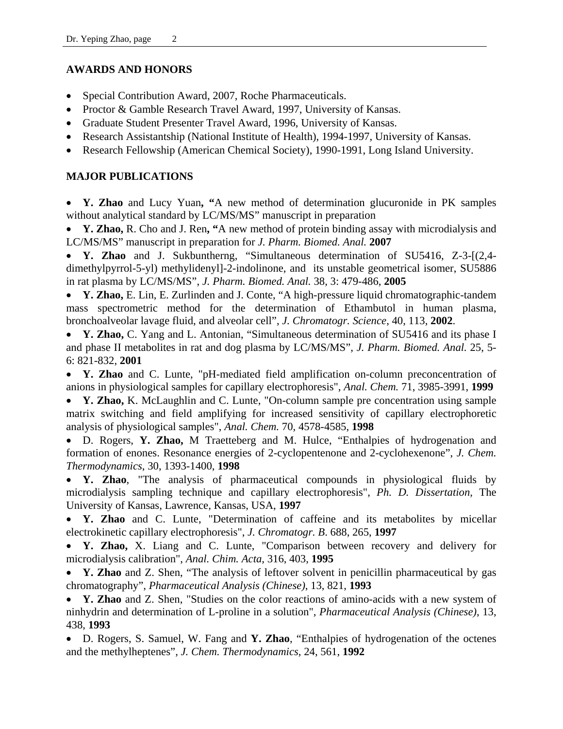## **AWARDS AND HONORS**

- Special Contribution Award, 2007, Roche Pharmaceuticals.
- Proctor & Gamble Research Travel Award, 1997, University of Kansas.
- Graduate Student Presenter Travel Award, 1996, University of Kansas.
- Research Assistantship (National Institute of Health), 1994-1997, University of Kansas.
- Research Fellowship (American Chemical Society), 1990-1991, Long Island University.

## **MAJOR PUBLICATIONS**

• **Y. Zhao** and Lucy Yuan**, "**A new method of determination glucuronide in PK samples without analytical standard by LC/MS/MS" manuscript in preparation

• **Y. Zhao,** R. Cho and J. Ren**, "**A new method of protein binding assay with microdialysis and LC/MS/MS" manuscript in preparation for *J. Pharm. Biomed. Anal.* **2007** 

• **Y. Zhao** and J. Sukbuntherng, "Simultaneous determination of SU5416, Z-3-[(2,4 dimethylpyrrol-5-yl) methylidenyl]-2-indolinone, and its unstable geometrical isomer, SU5886 in rat plasma by LC/MS/MS", *J. Pharm. Biomed. Anal.* 38, 3: 479-486, **2005** 

• **Y. Zhao,** E. Lin, E. Zurlinden and J. Conte, "A high-pressure liquid chromatographic-tandem mass spectrometric method for the determination of Ethambutol in human plasma, bronchoalveolar lavage fluid, and alveolar cell", *J. Chromatogr. Science*, 40, 113, **2002**.

• **Y. Zhao,** C. Yang and L. Antonian, "Simultaneous determination of SU5416 and its phase I and phase II metabolites in rat and dog plasma by LC/MS/MS", *J. Pharm. Biomed. Anal.* 25, 5- 6: 821-832, **2001**

• **Y. Zhao** and C. Lunte, "pH-mediated field amplification on-column preconcentration of anions in physiological samples for capillary electrophoresis", *Anal. Chem.* 71, 3985-3991, **1999**

• **Y. Zhao,** K. McLaughlin and C. Lunte, "On-column sample pre concentration using sample matrix switching and field amplifying for increased sensitivity of capillary electrophoretic analysis of physiological samples", *Anal. Chem.* 70, 4578-4585, **1998**

• D. Rogers, **Y. Zhao,** M Traetteberg and M. Hulce, "Enthalpies of hydrogenation and formation of enones. Resonance energies of 2-cyclopentenone and 2-cyclohexenone", *J. Chem. Thermodynamics*, 30, 1393-1400, **1998**

• **Y. Zhao**, "The analysis of pharmaceutical compounds in physiological fluids by microdialysis sampling technique and capillary electrophoresis", *Ph. D. Dissertation,* The University of Kansas, Lawrence, Kansas, USA, **1997**

• **Y. Zhao** and C. Lunte, "Determination of caffeine and its metabolites by micellar electrokinetic capillary electrophoresis", *J. Chromatogr. B*. 688, 265, **1997**

• **Y. Zhao,** X. Liang and C. Lunte, "Comparison between recovery and delivery for microdialysis calibration", *Anal. Chim. Acta*, 316, 403, **1995**

• **Y. Zhao** and Z. Shen, "The analysis of leftover solvent in penicillin pharmaceutical by gas chromatography", *Pharmaceutical Analysis (Chinese)*, 13, 821, **1993**

• **Y. Zhao** and Z. Shen, "Studies on the color reactions of amino-acids with a new system of ninhydrin and determination of L-proline in a solution", *Pharmaceutical Analysis (Chinese)*, 13, 438, **1993**

• D. Rogers, S. Samuel, W. Fang and **Y. Zhao**, "Enthalpies of hydrogenation of the octenes and the methylheptenes", *J. Chem. Thermodynamics*, 24, 561, **1992**